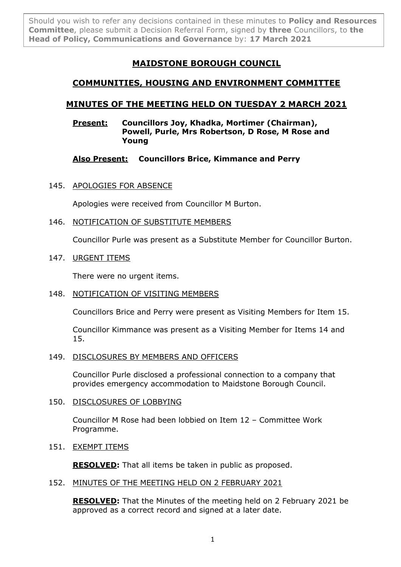Should you wish to refer any decisions contained in these minutes to **Policy and Resources Committee**, please submit a Decision Referral Form, signed by **three** Councillors, to **the Head of Policy, Communications and Governance** by: **17 March 2021**

# **MAIDSTONE BOROUGH COUNCIL**

# **COMMUNITIES, HOUSING AND ENVIRONMENT COMMITTEE**

# **MINUTES OF THE MEETING HELD ON TUESDAY 2 MARCH 2021**

### **Present: Councillors Joy, Khadka, Mortimer (Chairman), Powell, Purle, Mrs Robertson, D Rose, M Rose and Young**

# **Also Present: Councillors Brice, Kimmance and Perry**

145. APOLOGIES FOR ABSENCE

Apologies were received from Councillor M Burton.

146. NOTIFICATION OF SUBSTITUTE MEMBERS

Councillor Purle was present as a Substitute Member for Councillor Burton.

147. URGENT ITEMS

There were no urgent items.

# 148. NOTIFICATION OF VISITING MEMBERS

Councillors Brice and Perry were present as Visiting Members for Item 15.

Councillor Kimmance was present as a Visiting Member for Items 14 and 15.

## 149. DISCLOSURES BY MEMBERS AND OFFICERS

Councillor Purle disclosed a professional connection to a company that provides emergency accommodation to Maidstone Borough Council.

## 150. DISCLOSURES OF LOBBYING

Councillor M Rose had been lobbied on Item 12 – Committee Work Programme.

## 151. EXEMPT ITEMS

**RESOLVED:** That all items be taken in public as proposed.

## 152. MINUTES OF THE MEETING HELD ON 2 FEBRUARY 2021

**RESOLVED:** That the Minutes of the meeting held on 2 February 2021 be approved as a correct record and signed at a later date.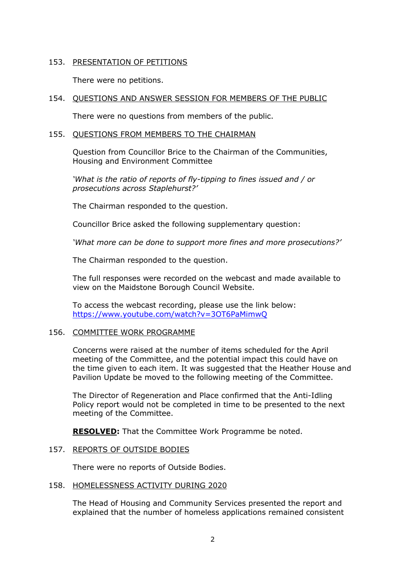### 153. PRESENTATION OF PETITIONS

There were no petitions.

### 154. QUESTIONS AND ANSWER SESSION FOR MEMBERS OF THE PUBLIC

There were no questions from members of the public.

#### 155. QUESTIONS FROM MEMBERS TO THE CHAIRMAN

Question from Councillor Brice to the Chairman of the Communities, Housing and Environment Committee

*'What is the ratio of reports of fly-tipping to fines issued and / or prosecutions across Staplehurst?'*

The Chairman responded to the question.

Councillor Brice asked the following supplementary question:

*'What more can be done to support more fines and more prosecutions?'*

The Chairman responded to the question.

The full responses were recorded on the webcast and made available to view on the Maidstone Borough Council Website.

To access the webcast recording, please use the link below: <https://www.youtube.com/watch?v=3OT6PaMimwQ>

#### 156. COMMITTEE WORK PROGRAMME

Concerns were raised at the number of items scheduled for the April meeting of the Committee, and the potential impact this could have on the time given to each item. It was suggested that the Heather House and Pavilion Update be moved to the following meeting of the Committee.

The Director of Regeneration and Place confirmed that the Anti-Idling Policy report would not be completed in time to be presented to the next meeting of the Committee.

**RESOLVED:** That the Committee Work Programme be noted.

#### 157. REPORTS OF OUTSIDE BODIES

There were no reports of Outside Bodies.

#### 158. HOMELESSNESS ACTIVITY DURING 2020

The Head of Housing and Community Services presented the report and explained that the number of homeless applications remained consistent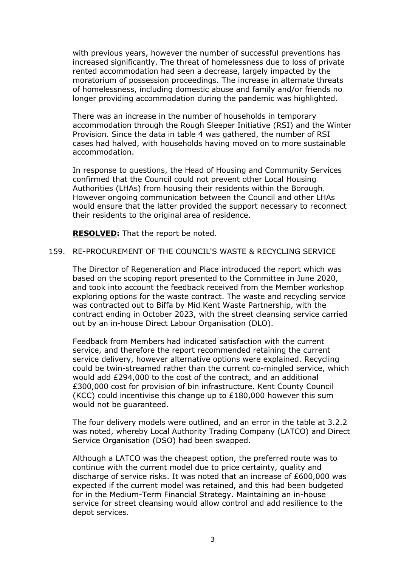with previous years, however the number of successful preventions has increased significantly. The threat of homelessness due to loss of private rented accommodation had seen a decrease, largely impacted by the moratorium of possession proceedings. The increase in alternate threats of homelessness, including domestic abuse and family and/or friends no longer providing accommodation during the pandemic was highlighted.

There was an increase in the number of households in temporary accommodation through the Rough Sleeper Initiative (RSI) and the Winter Provision. Since the data in table 4 was gathered, the number of RSI cases had halved, with households having moved on to more sustainable accommodation.

In response to questions, the Head of Housing and Community Services confirmed that the Council could not prevent other Local Housing Authorities (LHAs) from housing their residents within the Borough. However ongoing communication between the Council and other LHAs would ensure that the latter provided the support necessary to reconnect their residents to the original area of residence.

**RESOLVED:** That the report be noted.

### 159. RE-PROCUREMENT OF THE COUNCIL'S WASTE & RECYCLING SERVICE

The Director of Regeneration and Place introduced the report which was based on the scoping report presented to the Committee in June 2020, and took into account the feedback received from the Member workshop exploring options for the waste contract. The waste and recycling service was contracted out to Biffa by Mid Kent Waste Partnership, with the contract ending in October 2023, with the street cleansing service carried out by an in-house Direct Labour Organisation (DLO).

Feedback from Members had indicated satisfaction with the current service, and therefore the report recommended retaining the current service delivery, however alternative options were explained. Recycling could be twin-streamed rather than the current co-mingled service, which would add £294,000 to the cost of the contract, and an additional £300,000 cost for provision of bin infrastructure. Kent County Council (KCC) could incentivise this change up to £180,000 however this sum would not be guaranteed.

The four delivery models were outlined, and an error in the table at 3.2.2 was noted, whereby Local Authority Trading Company (LATCO) and Direct Service Organisation (DSO) had been swapped.

Although a LATCO was the cheapest option, the preferred route was to continue with the current model due to price certainty, quality and discharge of service risks. It was noted that an increase of £600,000 was expected if the current model was retained, and this had been budgeted for in the Medium-Term Financial Strategy. Maintaining an in-house service for street cleansing would allow control and add resilience to the depot services.